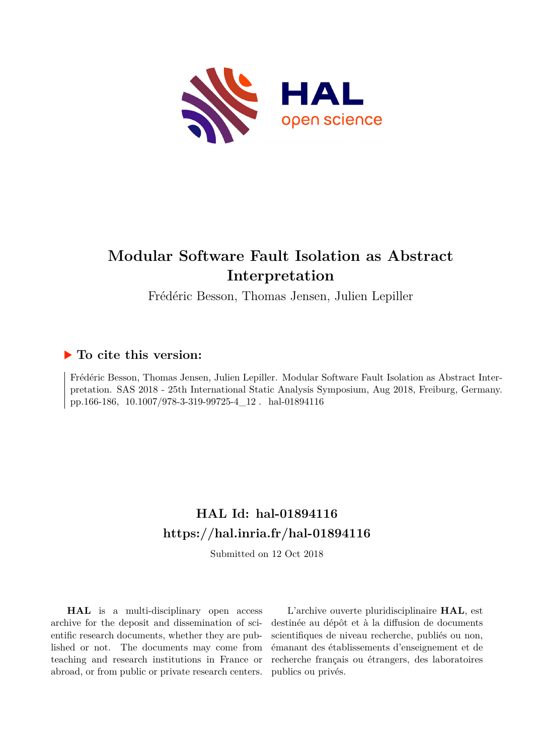

# **Modular Software Fault Isolation as Abstract Interpretation**

Frédéric Besson, Thomas Jensen, Julien Lepiller

# **To cite this version:**

Frédéric Besson, Thomas Jensen, Julien Lepiller. Modular Software Fault Isolation as Abstract Interpretation. SAS 2018 - 25th International Static Analysis Symposium, Aug 2018, Freiburg, Germany. pp.166-186, 10.1007/978-3-319-99725-4\_12. hal-01894116

# **HAL Id: hal-01894116 <https://hal.inria.fr/hal-01894116>**

Submitted on 12 Oct 2018

**HAL** is a multi-disciplinary open access archive for the deposit and dissemination of scientific research documents, whether they are published or not. The documents may come from teaching and research institutions in France or abroad, or from public or private research centers.

L'archive ouverte pluridisciplinaire **HAL**, est destinée au dépôt et à la diffusion de documents scientifiques de niveau recherche, publiés ou non, émanant des établissements d'enseignement et de recherche français ou étrangers, des laboratoires publics ou privés.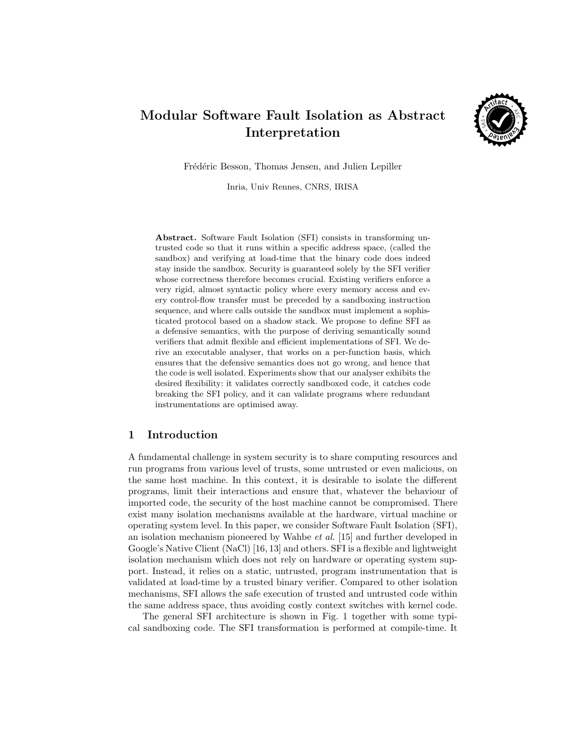# Modular Software Fault Isolation as Abstract Interpretation



Frédéric Besson, Thomas Jensen, and Julien Lepiller

Inria, Univ Rennes, CNRS, IRISA

Abstract. Software Fault Isolation (SFI) consists in transforming untrusted code so that it runs within a specific address space, (called the sandbox) and verifying at load-time that the binary code does indeed stay inside the sandbox. Security is guaranteed solely by the SFI verifier whose correctness therefore becomes crucial. Existing verifiers enforce a very rigid, almost syntactic policy where every memory access and every control-flow transfer must be preceded by a sandboxing instruction sequence, and where calls outside the sandbox must implement a sophisticated protocol based on a shadow stack. We propose to define SFI as a defensive semantics, with the purpose of deriving semantically sound verifiers that admit flexible and efficient implementations of SFI. We derive an executable analyser, that works on a per-function basis, which ensures that the defensive semantics does not go wrong, and hence that the code is well isolated. Experiments show that our analyser exhibits the desired flexibility: it validates correctly sandboxed code, it catches code breaking the SFI policy, and it can validate programs where redundant instrumentations are optimised away.

# 1 Introduction

A fundamental challenge in system security is to share computing resources and run programs from various level of trusts, some untrusted or even malicious, on the same host machine. In this context, it is desirable to isolate the different programs, limit their interactions and ensure that, whatever the behaviour of imported code, the security of the host machine cannot be compromised. There exist many isolation mechanisms available at the hardware, virtual machine or operating system level. In this paper, we consider Software Fault Isolation (SFI), an isolation mechanism pioneered by Wahbe et al. [15] and further developed in Google's Native Client (NaCl) [16, 13] and others. SFI is a flexible and lightweight isolation mechanism which does not rely on hardware or operating system support. Instead, it relies on a static, untrusted, program instrumentation that is validated at load-time by a trusted binary verifier. Compared to other isolation mechanisms, SFI allows the safe execution of trusted and untrusted code within the same address space, thus avoiding costly context switches with kernel code.

The general SFI architecture is shown in Fig. 1 together with some typical sandboxing code. The SFI transformation is performed at compile-time. It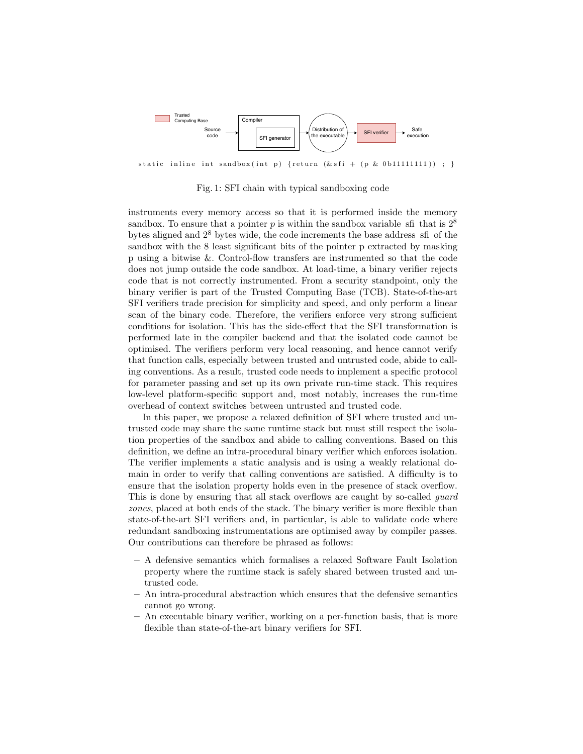

static inline int sandbox(int p) { $return (& sfi + (p & 0b11111111))$ ; }

Fig. 1: SFI chain with typical sandboxing code

instruments every memory access so that it is performed inside the memory sandbox. To ensure that a pointer p is within the sandbox variable sfi that is  $2^8$ bytes aligned and 2<sup>8</sup> bytes wide, the code increments the base address sfi of the sandbox with the 8 least significant bits of the pointer p extracted by masking p using a bitwise &. Control-flow transfers are instrumented so that the code does not jump outside the code sandbox. At load-time, a binary verifier rejects code that is not correctly instrumented. From a security standpoint, only the binary verifier is part of the Trusted Computing Base (TCB). State-of-the-art SFI verifiers trade precision for simplicity and speed, and only perform a linear scan of the binary code. Therefore, the verifiers enforce very strong sufficient conditions for isolation. This has the side-effect that the SFI transformation is performed late in the compiler backend and that the isolated code cannot be optimised. The verifiers perform very local reasoning, and hence cannot verify that function calls, especially between trusted and untrusted code, abide to calling conventions. As a result, trusted code needs to implement a specific protocol for parameter passing and set up its own private run-time stack. This requires low-level platform-specific support and, most notably, increases the run-time overhead of context switches between untrusted and trusted code.

In this paper, we propose a relaxed definition of SFI where trusted and untrusted code may share the same runtime stack but must still respect the isolation properties of the sandbox and abide to calling conventions. Based on this definition, we define an intra-procedural binary verifier which enforces isolation. The verifier implements a static analysis and is using a weakly relational domain in order to verify that calling conventions are satisfied. A difficulty is to ensure that the isolation property holds even in the presence of stack overflow. This is done by ensuring that all stack overflows are caught by so-called *guard* zones, placed at both ends of the stack. The binary verifier is more flexible than state-of-the-art SFI verifiers and, in particular, is able to validate code where redundant sandboxing instrumentations are optimised away by compiler passes. Our contributions can therefore be phrased as follows:

- A defensive semantics which formalises a relaxed Software Fault Isolation property where the runtime stack is safely shared between trusted and untrusted code.
- An intra-procedural abstraction which ensures that the defensive semantics cannot go wrong.
- An executable binary verifier, working on a per-function basis, that is more flexible than state-of-the-art binary verifiers for SFI.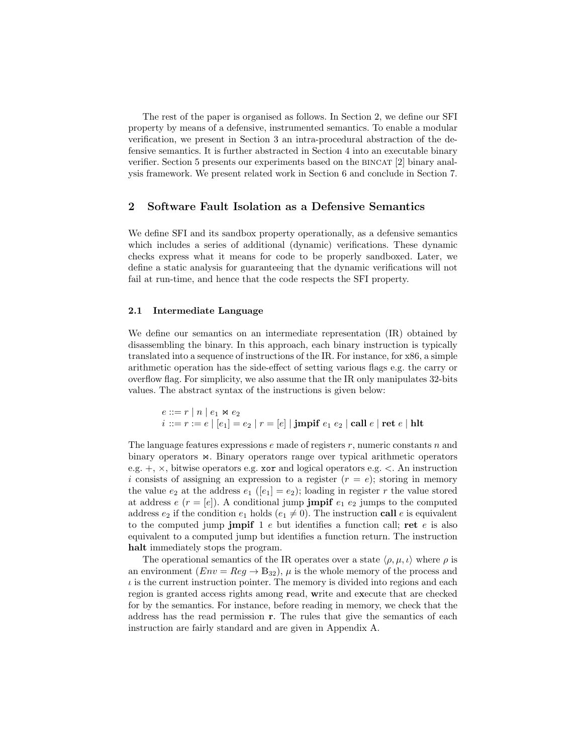The rest of the paper is organised as follows. In Section 2, we define our SFI property by means of a defensive, instrumented semantics. To enable a modular verification, we present in Section 3 an intra-procedural abstraction of the defensive semantics. It is further abstracted in Section 4 into an executable binary verifier. Section 5 presents our experiments based on the bincat [2] binary analysis framework. We present related work in Section 6 and conclude in Section 7.

## 2 Software Fault Isolation as a Defensive Semantics

We define SFI and its sandbox property operationally, as a defensive semantics which includes a series of additional (dynamic) verifications. These dynamic checks express what it means for code to be properly sandboxed. Later, we define a static analysis for guaranteeing that the dynamic verifications will not fail at run-time, and hence that the code respects the SFI property.

#### 2.1 Intermediate Language

We define our semantics on an intermediate representation (IR) obtained by disassembling the binary. In this approach, each binary instruction is typically translated into a sequence of instructions of the IR. For instance, for x86, a simple arithmetic operation has the side-effect of setting various flags e.g. the carry or overflow flag. For simplicity, we also assume that the IR only manipulates 32-bits values. The abstract syntax of the instructions is given below:

$$
e ::= r | n | e_1 \bowtie e_2
$$
  

$$
i ::= r := e | [e_1] = e_2 | r = [e] | \textbf{jmpif } e_1 e_2 | \textbf{call } e | \textbf{ret } e | \textbf{hlt}
$$

The language features expressions  $e$  made of registers  $r$ , numeric constants  $n$  and binary operators  $\infty$ . Binary operators range over typical arithmetic operators e.g. +, ×, bitwise operators e.g. xor and logical operators e.g. <. An instruction i consists of assigning an expression to a register  $(r = e)$ ; storing in memory the value  $e_2$  at the address  $e_1$  ([ $e_1$ ] =  $e_2$ ); loading in register r the value stored at address  $e(r = [e])$ . A conditional jump **jmpif**  $e_1$   $e_2$  jumps to the computed address  $e_2$  if the condition  $e_1$  holds  $(e_1 \neq 0)$ . The instruction call e is equivalent to the computed jump jmpif 1 e but identifies a function call; ret e is also equivalent to a computed jump but identifies a function return. The instruction halt immediately stops the program.

The operational semantics of the IR operates over a state  $\langle \rho, \mu, \iota \rangle$  where  $\rho$  is an environment  $(Env = Reg \rightarrow B_{32}), \mu$  is the whole memory of the process and  $\iota$  is the current instruction pointer. The memory is divided into regions and each region is granted access rights among read, write and execute that are checked for by the semantics. For instance, before reading in memory, we check that the address has the read permission r. The rules that give the semantics of each instruction are fairly standard and are given in Appendix A.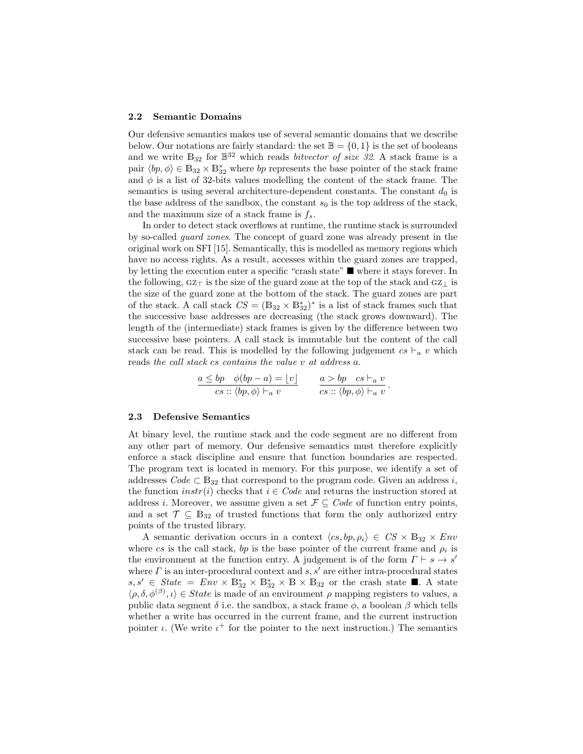#### 2.2 Semantic Domains

Our defensive semantics makes use of several semantic domains that we describe below. Our notations are fairly standard: the set  $\mathbb{B} = \{0, 1\}$  is the set of booleans and we write  $\mathbb{B}_{32}$  for  $\mathbb{B}^{32}$  which reads *bitvector of size* 32. A stack frame is a pair  $\langle bp, \phi \rangle \in \mathbb{B}_{32} \times \mathbb{B}_{32}^*$  where by represents the base pointer of the stack frame and  $\phi$  is a list of 32-bits values modelling the content of the stack frame. The semantics is using several architecture-dependent constants. The constant  $d_0$  is the base address of the sandbox, the constant  $s_0$  is the top address of the stack, and the maximum size of a stack frame is  $f_s$ .

In order to detect stack overflows at runtime, the runtime stack is surrounded by so-called guard zones. The concept of guard zone was already present in the original work on SFI [15]. Semantically, this is modelled as memory regions which have no access rights. As a result, accesses within the guard zones are trapped, by letting the execution enter a specific "crash state"  $\blacksquare$  where it stays forever. In the following,  $GZ_T$  is the size of the guard zone at the top of the stack and  $GZ_\perp$  is the size of the guard zone at the bottom of the stack. The guard zones are part of the stack. A call stack  $CS = (\mathbb{B}_{32} \times \mathbb{B}_{32}^*)^*$  is a list of stack frames such that the successive base addresses are decreasing (the stack grows downward). The length of the (intermediate) stack frames is given by the difference between two successive base pointers. A call stack is immutable but the content of the call stack can be read. This is modelled by the following judgement  $cs \vdash_a v$  which reads the call stack cs contains the value v at address a.

$$
\frac{a \le bp \quad \phi(bp - a) = \lfloor v \rfloor}{cs :: \langle bp, \phi \rangle \vdash_a v} \qquad \frac{a > bp \quad cs \vdash_a v}{cs :: \langle bp, \phi \rangle \vdash_a v}.
$$

#### 2.3 Defensive Semantics

At binary level, the runtime stack and the code segment are no different from any other part of memory. Our defensive semantics must therefore explicitly enforce a stack discipline and ensure that function boundaries are respected. The program text is located in memory. For this purpose, we identify a set of addresses  $Code \subset \mathbb{B}_{32}$  that correspond to the program code. Given an address i, the function  $instr(i)$  checks that  $i \in Code$  and returns the instruction stored at address *i*. Moreover, we assume given a set  $\mathcal{F} \subseteq Code$  of function entry points, and a set  $\mathcal{T} \subseteq \mathbb{B}_{32}$  of trusted functions that form the only authorized entry points of the trusted library.

A semantic derivation occurs in a context  $\langle cs, bp, \rho_i \rangle \in CS \times B_{32} \times Env$ where cs is the call stack, bp is the base pointer of the current frame and  $\rho_i$  is the environment at the function entry. A judgement is of the form  $\Gamma \vdash s \rightarrow s'$ where  $\Gamma$  is an inter-procedural context and  $s, s'$  are either intra-procedural states  $s, s' \in State = Env \times \mathbb{B}_{32}^* \times \mathbb{B}_{32} \times \mathbb{B} \times \mathbb{B}_{32}$  or the crash state . A state  $\langle \rho, \delta, \phi^{(\beta)}, \iota \rangle \in State$  is made of an environment  $\rho$  mapping registers to values, a public data segment  $\delta$  i.e. the sandbox, a stack frame  $\phi$ , a boolean  $\beta$  which tells whether a write has occurred in the current frame, and the current instruction pointer  $\iota$ . (We write  $\iota^+$  for the pointer to the next instruction.) The semantics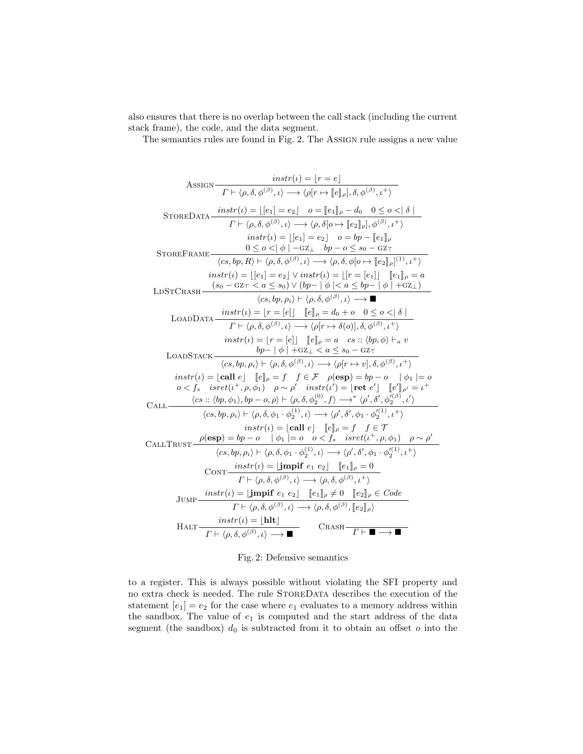also ensures that there is no overlap between the call stack (including the current stack frame), the code, and the data segment.

The semantics rules are found in Fig. 2. The ASSIGN rule assigns a new value

Assics  
\n
$$
\frac{\operatorname{instr}(t) = [r = e]}{\Gamma + \langle \rho, \delta, \phi^{(\beta)}, t \rangle} \rightarrow \langle \rho[r \mapsto [e]_{\rho}], \delta, \phi^{(\beta)}, t^+ \rangle
$$
\n
$$
\text{STOREDATA} \frac{\operatorname{instr}(t) = [[e_1] = e_2] \quad o = [[e_1]_{\rho} - d_0 \quad 0 \le o \le | \delta ]}{\Gamma + \langle \rho, \delta, \phi^{(\beta)}, t \rangle} \rightarrow \langle \rho, \delta[\rho \mapsto [[e_2]_{\rho}], \phi^{(\beta)}, t^+ \rangle)
$$
\n
$$
\operatorname{str}(t) = [[e_1] = e_2] \quad o = bp - [[e_1]_{\rho}]
$$
\n
$$
\text{STOREFRAME} \frac{0 \le o \le | \phi | - \text{CZ}_\perp \quad bp - o \le s_0 - \text{CZ}_\perp}{\langle cs, bp, R \rangle + \langle \rho, \delta, \phi^{(\beta)}, t \rangle} \rightarrow \langle \rho, \delta, \phi[\rho \mapsto [[e_2]_{\rho}](1), t^+ \rangle)
$$
\n
$$
\operatorname{instr}(t) = [[e_1] = e_2] \lor \operatorname{instr}(t) = [[r = [e_1]_{\rho} || e_1]_{\rho} = a
$$
\n
$$
\text{LDSTCRASH} \frac{(\text{ss}_0 - \text{CZ}_\perp < a \le s_0) \lor \text{(bp} - |\phi| < a \le bp - |\phi| + \text{CZ}_\perp)}{\langle cs, bp, \rho_i \rangle + \langle \rho, \delta, \phi^{(\beta)}, t \rangle} \rightarrow \emptyset
$$
\n
$$
\text{LOADDATA} \frac{\operatorname{instr}(t) = [r = [e]] \quad [e]_{\rho} = d_0 + o \quad 0 \le o \le |\delta|
$$
\n
$$
\Gamma + \langle \rho, \delta, \phi^{(\beta)}, t \rangle \rightarrow \langle \rho[r \mapsto \delta(0)], \delta, \phi^{(\beta)}, t^+ \rangle
$$
\n
$$
\operatorname{instr}(t) = [r = [e] \quad [e]_{\rho} = a \quad cs \quad : \langle bp, \phi \rangle \vdash a v
$$
\n
$$
\text{LOADSTARTAC} \frac{bp - |\phi| + \text{CZ}_\perp <
$$

Fig. 2: Defensive semantics

to a register. This is always possible without violating the SFI property and no extra check is needed. The rule StoreData describes the execution of the statement  $[e_1] = e_2$  for the case where  $e_1$  evaluates to a memory address within the sandbox. The value of  $e_1$  is computed and the start address of the data segment (the sandbox)  $d_0$  is subtracted from it to obtain an offset  $o$  into the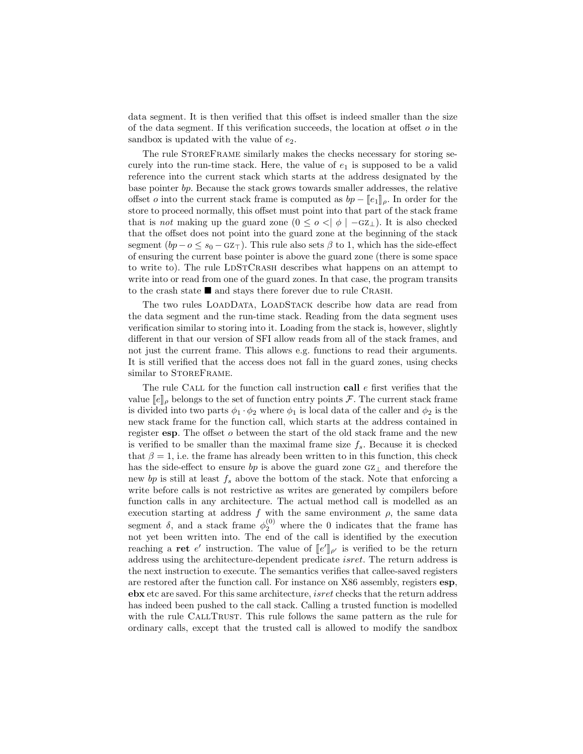data segment. It is then verified that this offset is indeed smaller than the size of the data segment. If this verification succeeds, the location at offset  $o$  in the sandbox is updated with the value of  $e_2$ .

The rule StoreFrame similarly makes the checks necessary for storing securely into the run-time stack. Here, the value of  $e_1$  is supposed to be a valid reference into the current stack which starts at the address designated by the base pointer bp. Because the stack grows towards smaller addresses, the relative offset o into the current stack frame is computed as  $bp - [e_1]_p$ . In order for the store to proceed normally, this offset must point into that part of the stack frame that is *not* making up the guard zone  $(0 \leq o < \vert \phi \vert -\text{GZ}_{\perp})$ . It is also checked that the offset does not point into the guard zone at the beginning of the stack segment  $(bp - o \leq s_0 - \text{GZ}\tau)$ . This rule also sets  $\beta$  to 1, which has the side-effect of ensuring the current base pointer is above the guard zone (there is some space to write to). The rule LDSTCRASH describes what happens on an attempt to write into or read from one of the guard zones. In that case, the program transits to the crash state  $\blacksquare$  and stays there forever due to rule CRASH.

The two rules LOADDATA, LOADSTACK describe how data are read from the data segment and the run-time stack. Reading from the data segment uses verification similar to storing into it. Loading from the stack is, however, slightly different in that our version of SFI allow reads from all of the stack frames, and not just the current frame. This allows e.g. functions to read their arguments. It is still verified that the access does not fall in the guard zones, using checks similar to STOREFRAME.

The rule CALL for the function call instruction call  $e$  first verifies that the value  $\llbracket e \rrbracket_{\rho}$  belongs to the set of function entry points F. The current stack frame is divided into two parts  $\phi_1 \cdot \phi_2$  where  $\phi_1$  is local data of the caller and  $\phi_2$  is the new stack frame for the function call, which starts at the address contained in register esp. The offset o between the start of the old stack frame and the new is verified to be smaller than the maximal frame size  $f_s$ . Because it is checked that  $\beta = 1$ , i.e. the frame has already been written to in this function, this check has the side-effect to ensure bp is above the guard zone  $GZ_\perp$  and therefore the new bp is still at least  $f_s$  above the bottom of the stack. Note that enforcing a write before calls is not restrictive as writes are generated by compilers before function calls in any architecture. The actual method call is modelled as an execution starting at address f with the same environment  $\rho$ , the same data segment  $\delta$ , and a stack frame  $\phi_2^{(0)}$  where the 0 indicates that the frame has not yet been written into. The end of the call is identified by the execution reaching a **ret** e' instruction. The value of  $[[e]]_{\rho'}$  is verified to be the return<br>address using the probineture dependent prodicate *ierat*. The return address is address using the architecture-dependent predicate isret. The return address is the next instruction to execute. The semantics verifies that callee-saved registers are restored after the function call. For instance on X86 assembly, registers esp, ebx etc are saved. For this same architecture, isret checks that the return address has indeed been pushed to the call stack. Calling a trusted function is modelled with the rule CALLTRUST. This rule follows the same pattern as the rule for ordinary calls, except that the trusted call is allowed to modify the sandbox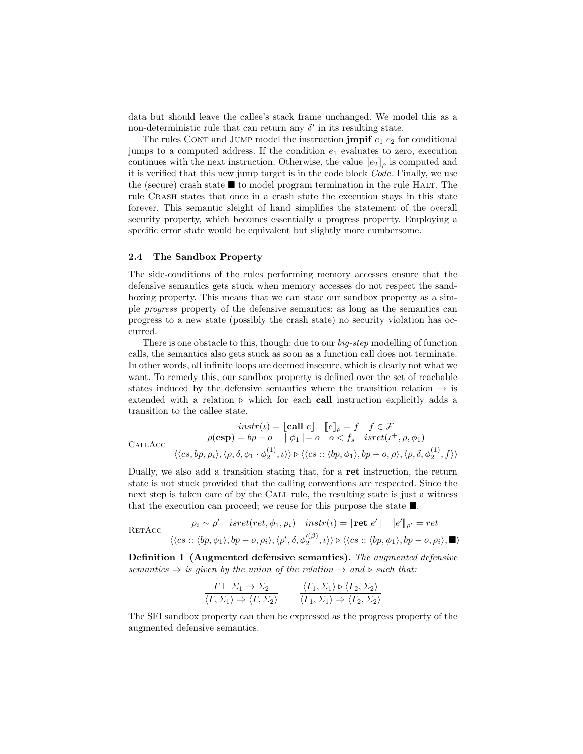data but should leave the callee's stack frame unchanged. We model this as a non-deterministic rule that can return any  $\delta'$  in its resulting state.

The rules CONT and JUMP model the instruction **jmpif**  $e_1$   $e_2$  for conditional jumps to a computed address. If the condition  $e_1$  evaluates to zero, execution continues with the next instruction. Otherwise, the value  $\llbracket e_2 \rrbracket_{\rho}$  is computed and it is verified that this new jump target is in the code block Code. Finally, we use the (secure) crash state  $\blacksquare$  to model program termination in the rule HALT. The rule Crash states that once in a crash state the execution stays in this state forever. This semantic sleight of hand simplifies the statement of the overall security property, which becomes essentially a progress property. Employing a specific error state would be equivalent but slightly more cumbersome.

#### 2.4 The Sandbox Property

The side-conditions of the rules performing memory accesses ensure that the defensive semantics gets stuck when memory accesses do not respect the sandboxing property. This means that we can state our sandbox property as a simple progress property of the defensive semantics: as long as the semantics can progress to a new state (possibly the crash state) no security violation has occurred.

There is one obstacle to this, though: due to our big-step modelling of function calls, the semantics also gets stuck as soon as a function call does not terminate. In other words, all infinite loops are deemed insecure, which is clearly not what we want. To remedy this, our sandbox property is defined over the set of reachable states induced by the defensive semantics where the transition relation  $\rightarrow$  is extended with a relation  $\triangleright$  which for each call instruction explicitly adds a transition to the callee state.

$$
instr(\iota) = \lfloor \mathbf{call} \ e \rfloor \quad [\![e]\!]_p = f \quad f \in \mathcal{F}
$$
\n
$$
\text{CALLAcc} \xrightarrow{\rho(\mathbf{esp}) = bp - o} \quad |\phi_1| = o \quad o < f_s \quad \text{isret}(\iota^+, \rho, \phi_1)
$$
\n
$$
\langle \langle cs, bp, \rho_i \rangle, \langle \rho, \delta, \phi_1 \cdot \phi_2^{(1)}, \iota \rangle \rangle \triangleright \langle \langle cs : \langle bp, \phi_1 \rangle, bp - o, \rho \rangle, \langle \rho, \delta, \phi_2^{(1)}, f \rangle \rangle
$$

Dually, we also add a transition stating that, for a ret instruction, the return state is not stuck provided that the calling conventions are respected. Since the next step is taken care of by the Call rule, the resulting state is just a witness that the execution can proceed; we reuse for this purpose the state  $\blacksquare$ .

$$
RETACC \frac{\rho_i \sim \rho' \quad isret(ret, \phi_1, \rho_i) \quad instr(\iota) = \lfloor \text{ret } e' \rfloor \quad [\lfloor e' \rfloor_{\rho'} = ret \quad} {\langle \langle cs :: \langle bp, \phi_1 \rangle, bp - o, \rho_i \rangle, \langle \rho', \delta, \phi_2'^{(\beta)}, \iota \rangle \rangle \triangleright \langle \langle cs :: \langle bp, \phi_1 \rangle, bp - o, \rho_i \rangle, \blacksquare \rangle}
$$

Definition 1 (Augmented defensive semantics). The augmented defensive semantics  $\Rightarrow$  is given by the union of the relation  $\rightarrow$  and  $\triangleright$  such that:

$$
\frac{\Gamma \vdash \Sigma_1 \to \Sigma_2}{\langle \Gamma, \Sigma_1 \rangle \Rightarrow \langle \Gamma, \Sigma_2 \rangle} \qquad \frac{\langle \Gamma_1, \Sigma_1 \rangle \triangleright \langle \Gamma_2, \Sigma_2 \rangle}{\langle \Gamma_1, \Sigma_1 \rangle \Rightarrow \langle \Gamma_2, \Sigma_2 \rangle}
$$

The SFI sandbox property can then be expressed as the progress property of the augmented defensive semantics.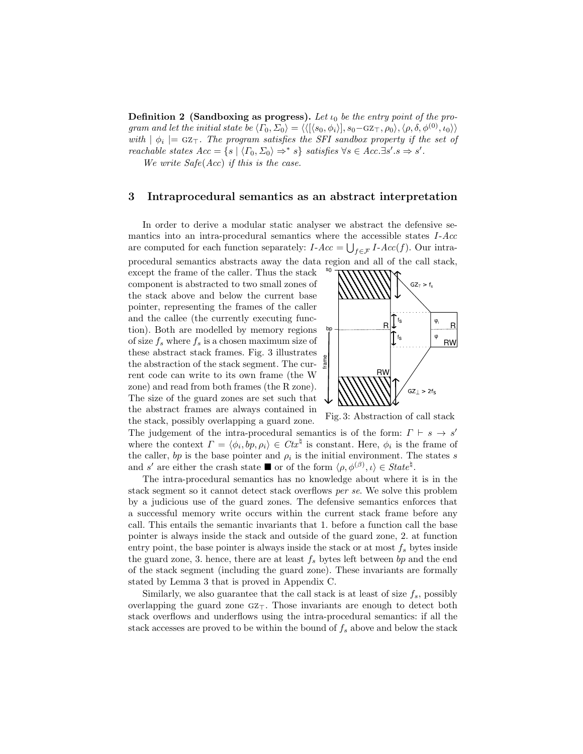**Definition 2** (Sandboxing as progress). Let  $\iota_0$  be the entry point of the program and let the initial state be  $\langle \Gamma_0, \Sigma_0 \rangle = \langle \langle [\langle s_0, \phi_i \rangle], s_0-\mathbf{GZ}\tau, \rho_0 \rangle, \langle \rho, \delta, \phi^{(0)}, \iota_0 \rangle \rangle$ with  $| \phi_i | = \text{GZ}_\top$ . The program satisfies the SFI sandbox property if the set of reachable states  $Acc = \{ s \mid \langle \Gamma_0, \Sigma_0 \rangle \Rightarrow^* s \}$  satisfies  $\forall s \in Acc \exists s'.s \Rightarrow s'.$ 

We write  $Safe(Acc)$  if this is the case.

## 3 Intraprocedural semantics as an abstract interpretation

In order to derive a modular static analyser we abstract the defensive semantics into an intra-procedural semantics where the accessible states I-Acc are computed for each function separately:  $I$ - $Acc = \bigcup_{f \in \mathcal{F}} I$ - $Acc(f)$ . Our intraprocedural semantics abstracts away the data region and all of the call stack,

except the frame of the caller. Thus the stack component is abstracted to two small zones of the stack above and below the current base pointer, representing the frames of the caller and the callee (the currently executing function). Both are modelled by memory regions of size  $f_s$  where  $f_s$  is a chosen maximum size of these abstract stack frames. Fig. 3 illustrates the abstraction of the stack segment. The current code can write to its own frame (the W zone) and read from both frames (the R zone). The size of the guard zones are set such that the abstract frames are always contained in the stack, possibly overlapping a guard zone.



Fig. 3: Abstraction of call stack

The judgement of the intra-procedural semantics is of the form:  $\Gamma \vdash s \rightarrow s'$ where the context  $\Gamma = \langle \phi_i, bp, \rho_i \rangle \in Ctx^{\dagger}$  is constant. Here,  $\phi_i$  is the frame of the caller, bp is the base pointer and  $\rho_i$  is the initial environment. The states s and s' are either the crash state  $\blacksquare$  or of the form  $\langle \rho, \phi^{(\beta)}, \iota \rangle \in State^{\natural}$ .

The intra-procedural semantics has no knowledge about where it is in the stack segment so it cannot detect stack overflows per se. We solve this problem by a judicious use of the guard zones. The defensive semantics enforces that a successful memory write occurs within the current stack frame before any call. This entails the semantic invariants that 1. before a function call the base pointer is always inside the stack and outside of the guard zone, 2. at function entry point, the base pointer is always inside the stack or at most  $f_s$  bytes inside the guard zone, 3. hence, there are at least  $f_s$  bytes left between bp and the end of the stack segment (including the guard zone). These invariants are formally stated by Lemma 3 that is proved in Appendix C.

Similarly, we also guarantee that the call stack is at least of size  $f_s$ , possibly overlapping the guard zone  $GZ_T$ . Those invariants are enough to detect both stack overflows and underflows using the intra-procedural semantics: if all the stack accesses are proved to be within the bound of  $f_s$  above and below the stack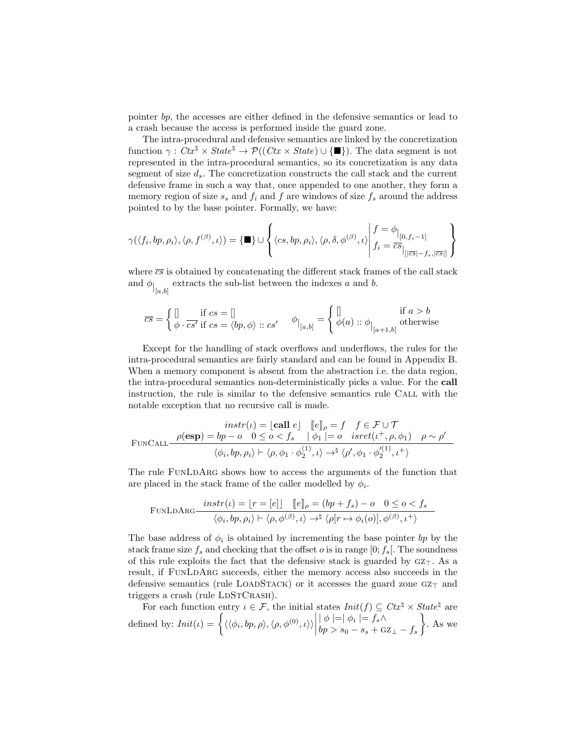pointer bp, the accesses are either defined in the defensive semantics or lead to a crash because the access is performed inside the guard zone.

The intra-procedural and defensive semantics are linked by the concretization function  $\gamma$  :  $Ctx^{\sharp} \times State^{\sharp} \rightarrow \mathcal{P}((Ctx \times State) \cup {\{\!\!\!\!\!\!\! \text{I}\!\!\!\!\text{I}}\})$ . The data segment is not represented in the intra-procedural semantics, so its concretization is any data segment of size  $d_s$ . The concretization constructs the call stack and the current defensive frame in such a way that, once appended to one another, they form a memory region of size  $s_s$  and  $f_i$  and  $f$  are windows of size  $f_s$  around the address pointed to by the base pointer. Formally, we have:

$$
\gamma(\langle f_i, bp, \rho_i \rangle, \langle \rho, f^{(\beta)}, \iota \rangle) = \{\blacksquare\} \cup \left\{ \langle cs, bp, \rho_i \rangle, \langle \rho, \delta, \phi^{(\beta)}, \iota \rangle \middle| \begin{aligned} f &= \phi_{\big|_{[0, f_s - 1]}} \\ f_i &= \overline{cs}_{\big|_{\big[ \big[ \overline{cs} \big] - f_s, \big[ \overline{cs} \big] \big]} \end{aligned} \right\}
$$

where  $\overline{cs}$  is obtained by concatenating the different stack frames of the call stack and  $\phi_{\vert_{[a,b]}}$ extracts the sub-list between the indexes a and b.

$$
\overline{cs} = \begin{cases} \begin{bmatrix} 0 & \text{if } cs = 0 \\ \phi \cdot \overline{cs'} \text{ if } cs = \langle bp, \phi \rangle \therefore cs' \end{bmatrix} \phi_{\big| [a, b] } = \begin{cases} \begin{bmatrix} 0 & \text{if } a > b \\ \phi(a) & \phi(a) \end{bmatrix} \text{ otherwise} \end{cases}
$$

Except for the handling of stack overflows and underflows, the rules for the intra-procedural semantics are fairly standard and can be found in Appendix B. When a memory component is absent from the abstraction i.e. the data region, the intra-procedural semantics non-deterministically picks a value. For the call instruction, the rule is similar to the defensive semantics rule Call with the notable exception that no recursive call is made.

$$
instr(\iota) = \lfloor \mathbf{call} \ e \rfloor \quad \lfloor e \rfloor_{\rho} = f \quad f \in \mathcal{F} \cup \mathcal{T}
$$
  
\n
$$
FUNCALL \xrightarrow{\rho(\mathbf{esp}) = bp - o} 0 \le o < f_s \quad |\phi_1| = o \quad isret(\iota^+, \rho, \phi_1) \quad \rho \sim \rho'
$$
  
\n
$$
\langle \phi_i, bp, \rho_i \rangle \vdash \langle \rho, \phi_1 \cdot \phi_2^{(1)}, \iota \rangle \rightarrow^{\frac{1}{2}} \langle \rho', \phi_1 \cdot \phi_2^{(1)}, \iota^+ \rangle
$$

The rule FunLdArg shows how to access the arguments of the function that are placed in the stack frame of the caller modelled by  $\phi_i$ .

$$
\text{FunLoArea} \frac{\text{instr}(\iota) = \lfloor r = [e] \rfloor \quad [\lfloor e \rfloor]_\rho = (bp + f_s) - o \quad 0 \le o < f_s}{\langle \phi_i, bp, \rho_i \rangle \vdash \langle \rho, \phi^{(\beta)}, \iota \rangle \rightarrow^{\natural} \langle \rho[r \mapsto \phi_i(o)], \phi^{(\beta)}, \iota^+ \rangle}
$$

The base address of  $\phi_i$  is obtained by incrementing the base pointer by by the stack frame size  $f_s$  and checking that the offset *o* is in range [0;  $f_s$ ]. The soundness of this rule exploits the fact that the defensive stack is guarded by  $GZ_T$ . As a result, if FunLdArg succeeds, either the memory access also succeeds in the defensive semantics (rule LOADSTACK) or it accesses the guard zone  $GZ_{\top}$  and triggers a crash (rule  $LDSTCRASH$ ).

For each function entry  $\iota \in \mathcal{F}$ , the initial states  $Init(f) \subseteq Ctx^{\natural} \times State^{\natural}$  are defined by:  $Init(t) = \left\{ \langle \langle \phi_i, bp, \rho \rangle, \langle \rho, \phi^{(0)}, t \rangle \rangle \right\}$  $| \phi | = | \phi_i | = f_s \wedge$  $bp > s_0 - s_s + \mathrm{GZ}_{\perp} - f_s$  $\big\}$ . As we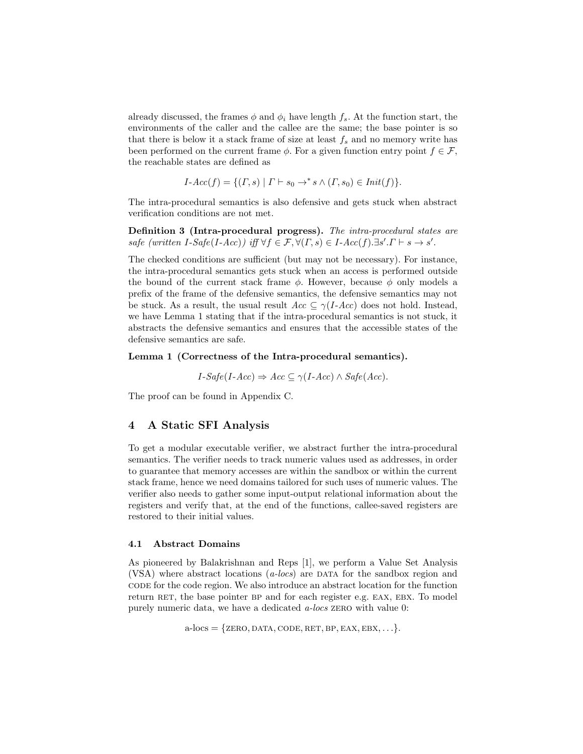already discussed, the frames  $\phi$  and  $\phi_i$  have length  $f_s$ . At the function start, the environments of the caller and the callee are the same; the base pointer is so that there is below it a stack frame of size at least  $f_s$  and no memory write has been performed on the current frame  $\phi$ . For a given function entry point  $f \in \mathcal{F}$ , the reachable states are defined as

$$
I\textrm{-}Acc(f) = \{(T, s) \mid T \vdash s_0 \rightarrow^* s \land (T, s_0) \in \mathit{Init}(f)\}.
$$

The intra-procedural semantics is also defensive and gets stuck when abstract verification conditions are not met.

Definition 3 (Intra-procedural progress). The intra-procedural states are safe (written I-Safe(I-Acc)) iff  $\forall f \in \mathcal{F}, \forall (\Gamma, s) \in I$ -Acc(f). $\exists s'.\Gamma \vdash s \rightarrow s'.$ 

The checked conditions are sufficient (but may not be necessary). For instance, the intra-procedural semantics gets stuck when an access is performed outside the bound of the current stack frame  $\phi$ . However, because  $\phi$  only models a prefix of the frame of the defensive semantics, the defensive semantics may not be stuck. As a result, the usual result  $Acc \subseteq \gamma(I - Acc)$  does not hold. Instead, we have Lemma 1 stating that if the intra-procedural semantics is not stuck, it abstracts the defensive semantics and ensures that the accessible states of the defensive semantics are safe.

#### Lemma 1 (Correctness of the Intra-procedural semantics).

$$
I\text{-}Safe(I\text{-}Acc) \Rightarrow Acc \subseteq \gamma(I\text{-}Acc) \land Safe(Acc).
$$

The proof can be found in Appendix C.

## 4 A Static SFI Analysis

To get a modular executable verifier, we abstract further the intra-procedural semantics. The verifier needs to track numeric values used as addresses, in order to guarantee that memory accesses are within the sandbox or within the current stack frame, hence we need domains tailored for such uses of numeric values. The verifier also needs to gather some input-output relational information about the registers and verify that, at the end of the functions, callee-saved registers are restored to their initial values.

#### 4.1 Abstract Domains

As pioneered by Balakrishnan and Reps [1], we perform a Value Set Analysis (VSA) where abstract locations  $(a\text{-}locs)$  are DATA for the sandbox region and code for the code region. We also introduce an abstract location for the function return RET, the base pointer BP and for each register e.g. EAX, EBX. To model purely numeric data, we have a dedicated *a-locs* zERO with value 0:

```
a\text{-}locs = \{ZERO, DATA, CODE, RET, BP, EAX, EBX, ...}.
```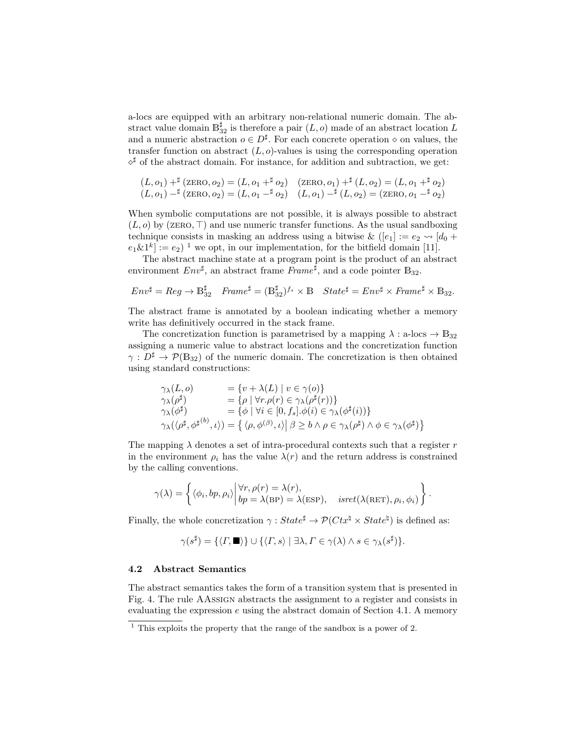a-locs are equipped with an arbitrary non-relational numeric domain. The abstract value domain  $\mathbb{B}_{32}^{\sharp}$  is therefore a pair  $(L, o)$  made of an abstract location L and a numeric abstraction  $o \in D^{\sharp}$ . For each concrete operation  $\diamond$  on values, the transfer function on abstract  $(L, o)$ -values is using the corresponding operation  $\circ^{\sharp}$  of the abstract domain. For instance, for addition and subtraction, we get:

$$
(L, o_1) +^{\sharp} (\text{ZERO}, o_2) = (L, o_1 +^{\sharp} o_2) \quad (\text{ZERO}, o_1) +^{\sharp} (L, o_2) = (L, o_1 +^{\sharp} o_2)
$$
  

$$
(L, o_1) -^{\sharp} (\text{ZERO}, o_2) = (L, o_1 -^{\sharp} o_2) \quad (L, o_1) -^{\sharp} (L, o_2) = (\text{ZERO}, o_1 -^{\sharp} o_2)
$$

When symbolic computations are not possible, it is always possible to abstract  $(L, o)$  by (zERO,  $\top$ ) and use numeric transfer functions. As the usual sandboxing technique consists in masking an address using a bitwise &  $([e_1] := e_2 \rightarrow [d_0 +$  $e_1 \& 1^k] := e_2$ ) <sup>1</sup> we opt, in our implementation, for the bitfield domain [11].

The abstract machine state at a program point is the product of an abstract environment  $Env^{\sharp}$ , an abstract frame  $Frame^{\sharp}$ , and a code pointer  $\mathbb{B}_{32}$ .

$$
Env^{\sharp} = Reg \rightarrow \mathbb{B}_{32}^{\sharp}
$$
  $Frame^{\sharp} = (\mathbb{B}_{32}^{\sharp})^{f_s} \times \mathbb{B}$   $State^{\sharp} = Env^{\sharp} \times Frame^{\sharp} \times \mathbb{B}_{32}$ .

The abstract frame is annotated by a boolean indicating whether a memory write has definitively occurred in the stack frame.

The concretization function is parametrised by a mapping  $\lambda : a$ -locs  $\rightarrow \mathbb{B}_{32}$ assigning a numeric value to abstract locations and the concretization function  $\gamma : D^{\sharp} \to \mathcal{P}(\mathbb{B}_{32})$  of the numeric domain. The concretization is then obtained using standard constructions:

$$
\gamma_{\lambda}(L, o) = \{v + \lambda(L) | v \in \gamma(o)\}\n\gamma_{\lambda}(\rho^{\sharp}) = \{\rho | \forall r. \rho(r) \in \gamma_{\lambda}(\rho^{\sharp}(r))\}\n\gamma_{\lambda}(\phi^{\sharp}) = \{\phi | \forall i \in [0, f_s]. \phi(i) \in \gamma_{\lambda}(\phi^{\sharp}(i))\}\n\gamma_{\lambda}(\langle \rho^{\sharp}, \phi^{\sharp^{(b)}}, \iota \rangle) = \{ \langle \rho, \phi^{(\beta)}, \iota \rangle | \beta \ge b \land \rho \in \gamma_{\lambda}(\rho^{\sharp}) \land \phi \in \gamma_{\lambda}(\phi^{\sharp}) \}
$$

The mapping  $\lambda$  denotes a set of intra-procedural contexts such that a register r in the environment  $\rho_i$  has the value  $\lambda(r)$  and the return address is constrained by the calling conventions.

$$
\gamma(\lambda) = \left\{ \langle \phi_i, bp, \rho_i \rangle \middle| \begin{aligned} \forall r, \rho(r) = \lambda(r), \\ bp = \lambda(\text{BP}) = \lambda(\text{ESP}), & isret(\lambda(\text{RET}), \rho_i, \phi_i) \end{aligned} \right\}
$$

.

Finally, the whole concretization  $\gamma: State^{\sharp} \to \mathcal{P}(Ctx^{\sharp} \times State^{\sharp})$  is defined as:

$$
\gamma(s^{\sharp}) = \{ \langle \varGamma, \blacksquare \rangle \} \cup \{ \langle \varGamma, s \rangle \mid \exists \lambda, \varGamma \in \gamma(\lambda) \land s \in \gamma_{\lambda}(s^{\sharp}) \}.
$$

#### 4.2 Abstract Semantics

The abstract semantics takes the form of a transition system that is presented in Fig. 4. The rule AAssign abstracts the assignment to a register and consists in evaluating the expression e using the abstract domain of Section 4.1. A memory

<sup>&</sup>lt;sup>1</sup> This exploits the property that the range of the sandbox is a power of 2.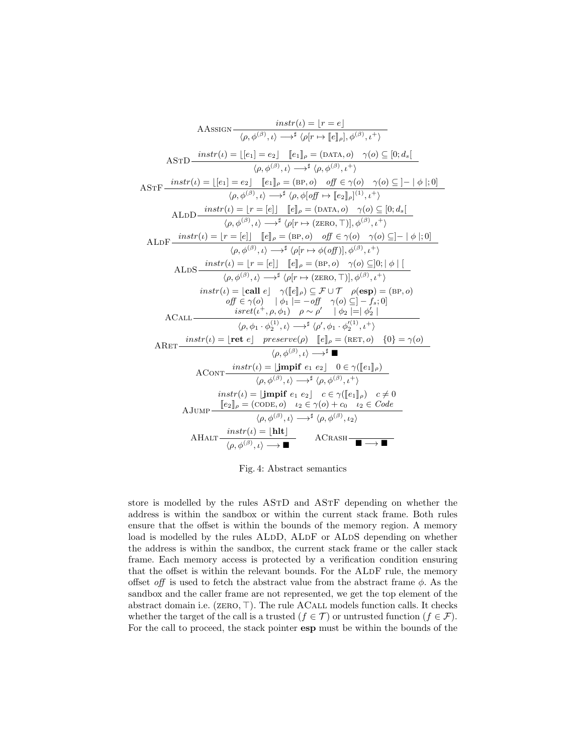1.11. 
$$
RSE(X) = \frac{\int_{\langle \rho, \phi^{(\beta)}, t \rangle} \to^{\frac{1}{2}} \langle \rho[r \mapsto \llbracket e \rrbracket]_p, \phi^{(\beta)}, t^{\perp}\rangle}{\langle \rho, \phi^{(\beta)}, t \rangle} = \frac{\int_{\langle \rho, \phi^{(\beta)}, t \rangle} \to^{\frac{1}{2}} \langle \rho, \phi^{(\beta)}, t^{\perp}\rangle}{\langle \rho, \phi^{(\beta)}, t \rangle} = \frac{\int_{\langle \rho, \phi^{(\beta)}, t \rangle} \to^{\frac{1}{2}} \langle \rho, \phi^{(\beta)}, t^{\perp}\rangle}{\langle \rho, \phi^{(\beta)}, t \rangle} = \frac{\int_{\langle \rho, \phi^{(\beta)}, t \rangle} \to^{\frac{1}{2}} \langle \rho, \phi^{(\beta)}, t^{\perp}\rangle}{\langle \rho, \phi^{(\beta)}, t \rangle} = \frac{\int_{\langle \rho, \phi^{(\beta)}, t \rangle} \to^{\frac{1}{2}} \langle \rho, \phi^{(\beta)} \to^{\frac{1}{2}} \langle e \rangle_1, t^{\perp}\rangle}{\langle \rho, \phi^{(\beta)}, t \rangle} = \frac{\int_{\langle \rho, \phi^{(\beta)}, t \rangle} \to^{\frac{1}{2}} \langle \rho[r \mapsto \langle \text{ZERO}, T] \rangle_p, \phi^{(\beta)}, t^{\perp}\rangle}{\langle \rho, \phi^{(\beta)}, t \rangle} = \frac{\int_{\langle \rho, \phi^{(\beta)}, t \rangle} \to^{\frac{1}{2}} \langle \rho[r \mapsto \langle \text{QERO}, T] \rangle_p, \phi^{(\beta)}, t^{\perp}\rangle}{\langle \rho, \phi^{(\beta)}, t \rangle} = \frac{\int_{\langle \rho, \phi^{(\beta)}, t \rangle} \to^{\frac{1}{2}} \langle \rho[r \mapsto \phi^{(\beta)}, t^{\perp}\rangle_p}{\langle \rho[r \mapsto \phi^{(\beta)}, t^{\perp}\rangle_p} = \frac{\int_{\langle \rho, \phi^{(\beta)}, t \rangle} \to^{\frac{1}{2}} \langle \rho[r \mapsto \langle \text{ZERO}, T] \rangle_p, \phi^{(\beta)}, t^{\perp}\rangle}{\langle \rho, \phi^{(\beta)}, t \rangle} = \frac{\int_{\langle \rho, \phi^{(\beta)}, t \rangle} \to^{\frac{1}{2}} \langle \rho[r \mapsto \langle \text{ZERO}, T] \rangle_p, \phi^{
$$

Fig. 4: Abstract semantics

store is modelled by the rules AStD and AStF depending on whether the address is within the sandbox or within the current stack frame. Both rules ensure that the offset is within the bounds of the memory region. A memory load is modelled by the rules ALDD, ALDF or ALDS depending on whether the address is within the sandbox, the current stack frame or the caller stack frame. Each memory access is protected by a verification condition ensuring that the offset is within the relevant bounds. For the ALDF rule, the memory offset off is used to fetch the abstract value from the abstract frame  $\phi$ . As the sandbox and the caller frame are not represented, we get the top element of the abstract domain i.e. (zero,  $\top$ ). The rule ACALL models function calls. It checks whether the target of the call is a trusted ( $f \in \mathcal{T}$ ) or untrusted function ( $f \in \mathcal{F}$ ). For the call to proceed, the stack pointer esp must be within the bounds of the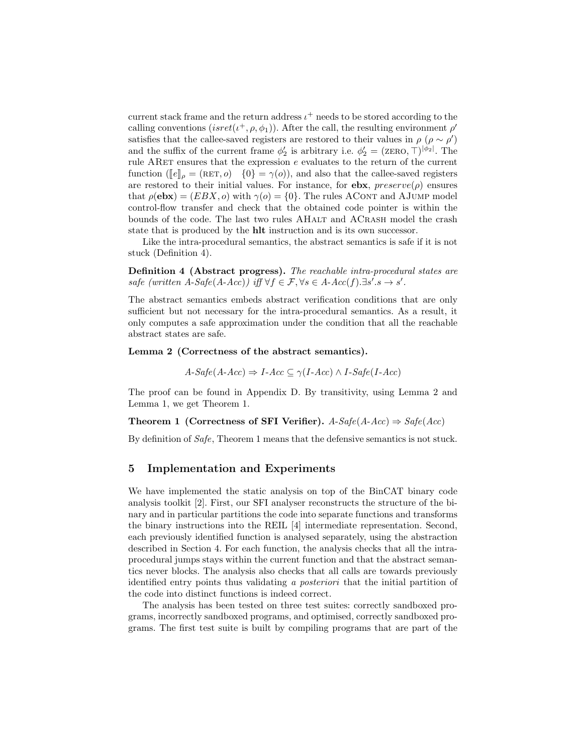current stack frame and the return address  $\iota^+$  needs to be stored according to the calling conventions  $(\text{isret}(\iota^+, \rho, \phi_1))$ . After the call, the resulting environment  $\rho'$ satisfies that the callee-saved registers are restored to their values in  $\rho$  ( $\rho \sim \rho'$ ) and the suffix of the current frame  $\phi'_2$  is arbitrary i.e.  $\phi'_2 = ($ zERO,  $\top)^{|\phi_2|}$ . The rule ARET ensures that the expression  $e$  evaluates to the return of the current function ( $\llbracket e \rrbracket_o = (\text{RET}, o)$  {0} =  $\gamma(o)$ ), and also that the callee-saved registers are restored to their initial values. For instance, for **ebx**,  $\text{preserve}(\rho)$  ensures that  $\rho(\mathbf{e}\mathbf{b}\mathbf{x}) = (EBX, o)$  with  $\gamma(o) = \{0\}$ . The rules ACONT and AJUMP model control-flow transfer and check that the obtained code pointer is within the bounds of the code. The last two rules AHALT and ACRASH model the crash state that is produced by the hlt instruction and is its own successor.

Like the intra-procedural semantics, the abstract semantics is safe if it is not stuck (Definition 4).

Definition 4 (Abstract progress). The reachable intra-procedural states are safe (written  $A$ -Safe $(A$ -Acc)) iff  $\forall f \in \mathcal{F}, \forall s \in A$ -Acc $(f)$ . $\exists s'.s \to s'.$ 

The abstract semantics embeds abstract verification conditions that are only sufficient but not necessary for the intra-procedural semantics. As a result, it only computes a safe approximation under the condition that all the reachable abstract states are safe.

#### Lemma 2 (Correctness of the abstract semantics).

 $A\text{-}Safe(A\text{-}Acc) \Rightarrow I\text{-}Acc \subseteq \gamma(I\text{-}Acc) \land I\text{-}Safe(I\text{-}Acc)$ 

The proof can be found in Appendix D. By transitivity, using Lemma 2 and Lemma 1, we get Theorem 1.

Theorem 1 (Correctness of SFI Verifier).  $A\text{-}Safe(A\text{-}Acc) \Rightarrow \text{Safe}(Acc)$ 

By definition of Safe, Theorem 1 means that the defensive semantics is not stuck.

### 5 Implementation and Experiments

We have implemented the static analysis on top of the BinCAT binary code analysis toolkit [2]. First, our SFI analyser reconstructs the structure of the binary and in particular partitions the code into separate functions and transforms the binary instructions into the REIL [4] intermediate representation. Second, each previously identified function is analysed separately, using the abstraction described in Section 4. For each function, the analysis checks that all the intraprocedural jumps stays within the current function and that the abstract semantics never blocks. The analysis also checks that all calls are towards previously identified entry points thus validating a posteriori that the initial partition of the code into distinct functions is indeed correct.

The analysis has been tested on three test suites: correctly sandboxed programs, incorrectly sandboxed programs, and optimised, correctly sandboxed programs. The first test suite is built by compiling programs that are part of the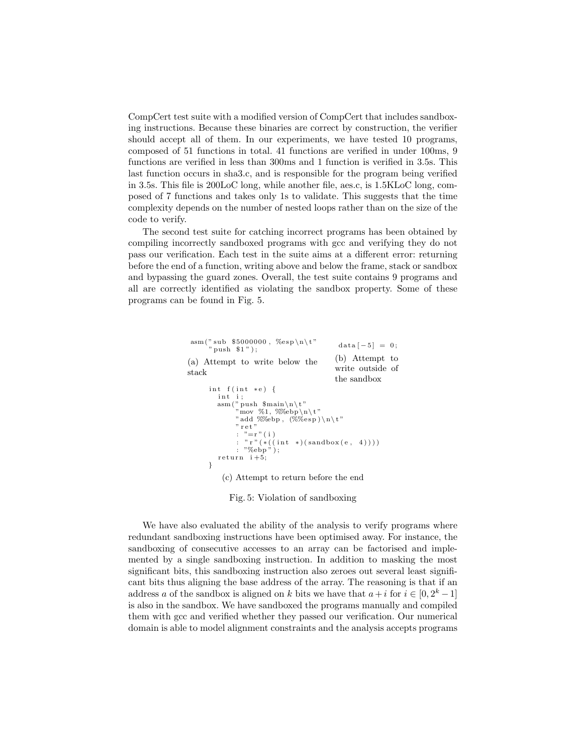CompCert test suite with a modified version of CompCert that includes sandboxing instructions. Because these binaries are correct by construction, the verifier should accept all of them. In our experiments, we have tested 10 programs, composed of 51 functions in total. 41 functions are verified in under 100ms, 9 functions are verified in less than 300ms and 1 function is verified in 3.5s. This last function occurs in sha3.c, and is responsible for the program being verified in 3.5s. This file is 200LoC long, while another file, aes.c, is 1.5KLoC long, composed of 7 functions and takes only 1s to validate. This suggests that the time complexity depends on the number of nested loops rather than on the size of the code to verify.

The second test suite for catching incorrect programs has been obtained by compiling incorrectly sandboxed programs with gcc and verifying they do not pass our verification. Each test in the suite aims at a different error: returning before the end of a function, writing above and below the frame, stack or sandbox and bypassing the guard zones. Overall, the test suite contains 9 programs and all are correctly identified as violating the sandbox property. Some of these programs can be found in Fig. 5.

```
asm (" sub $5000000, %esp\n\t"<br>"push $1");
(a) Attempt to write below the
stack
                                                 data [-5] = 0;(b) Attempt to
                                                write outside of
                                                the sandbox
       int f(int *e) {
          \mathop{\text{int}} i;
          asm(' push s_{main \n}t"
                \text{mov } \% 1, \% \text{ebp} \n\backslash n \nt"
               "add %%ebp, (\hat{\%}\% \exp)(n \times t)" r e t "
                : "=r"(i)<br>: "r"(*((int *)(sandbox(e, 4))))
                : "%ebp");
          r et urn i + 5;
       }
```
(c) Attempt to return before the end

Fig. 5: Violation of sandboxing

We have also evaluated the ability of the analysis to verify programs where redundant sandboxing instructions have been optimised away. For instance, the sandboxing of consecutive accesses to an array can be factorised and implemented by a single sandboxing instruction. In addition to masking the most significant bits, this sandboxing instruction also zeroes out several least significant bits thus aligning the base address of the array. The reasoning is that if an address a of the sandbox is aligned on k bits we have that  $a + i$  for  $i \in [0, 2<sup>k</sup> - 1]$ is also in the sandbox. We have sandboxed the programs manually and compiled them with gcc and verified whether they passed our verification. Our numerical domain is able to model alignment constraints and the analysis accepts programs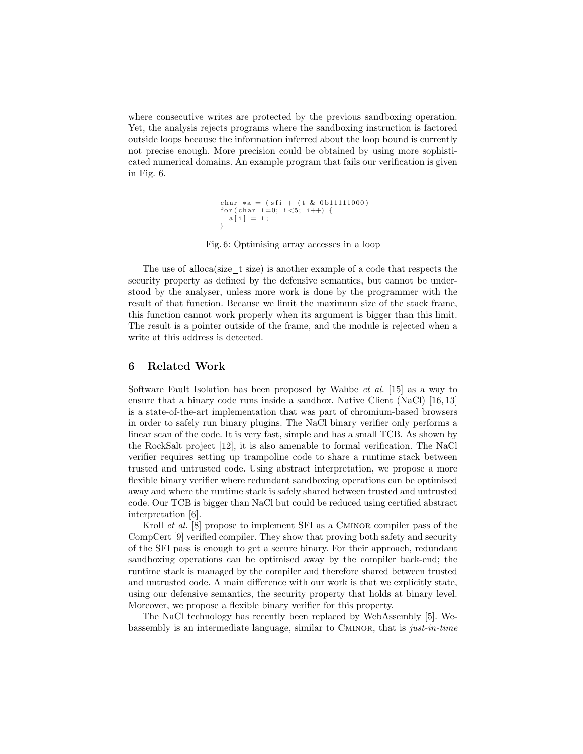where consecutive writes are protected by the previous sandboxing operation. Yet, the analysis rejects programs where the sandboxing instruction is factored outside loops because the information inferred about the loop bound is currently not precise enough. More precision could be obtained by using more sophisticated numerical domains. An example program that fails our verification is given in Fig. 6.

```
char *a = (sfi + (t & 0b11111000)for ( char i = 0; i < 5; i + +) {
a [i] = i;
```
Fig. 6: Optimising array accesses in a loop

The use of alloca(size t size) is another example of a code that respects the security property as defined by the defensive semantics, but cannot be understood by the analyser, unless more work is done by the programmer with the result of that function. Because we limit the maximum size of the stack frame, this function cannot work properly when its argument is bigger than this limit. The result is a pointer outside of the frame, and the module is rejected when a write at this address is detected.

# 6 Related Work

Software Fault Isolation has been proposed by Wahbe et al. [15] as a way to ensure that a binary code runs inside a sandbox. Native Client (NaCl) [16, 13] is a state-of-the-art implementation that was part of chromium-based browsers in order to safely run binary plugins. The NaCl binary verifier only performs a linear scan of the code. It is very fast, simple and has a small TCB. As shown by the RockSalt project [12], it is also amenable to formal verification. The NaCl verifier requires setting up trampoline code to share a runtime stack between trusted and untrusted code. Using abstract interpretation, we propose a more flexible binary verifier where redundant sandboxing operations can be optimised away and where the runtime stack is safely shared between trusted and untrusted code. Our TCB is bigger than NaCl but could be reduced using certified abstract interpretation [6].

Kroll *et al.* [8] propose to implement SFI as a CMINOR compiler pass of the CompCert [9] verified compiler. They show that proving both safety and security of the SFI pass is enough to get a secure binary. For their approach, redundant sandboxing operations can be optimised away by the compiler back-end; the runtime stack is managed by the compiler and therefore shared between trusted and untrusted code. A main difference with our work is that we explicitly state, using our defensive semantics, the security property that holds at binary level. Moreover, we propose a flexible binary verifier for this property.

The NaCl technology has recently been replaced by WebAssembly [5]. Webassembly is an intermediate language, similar to CMINOR, that is *just-in-time*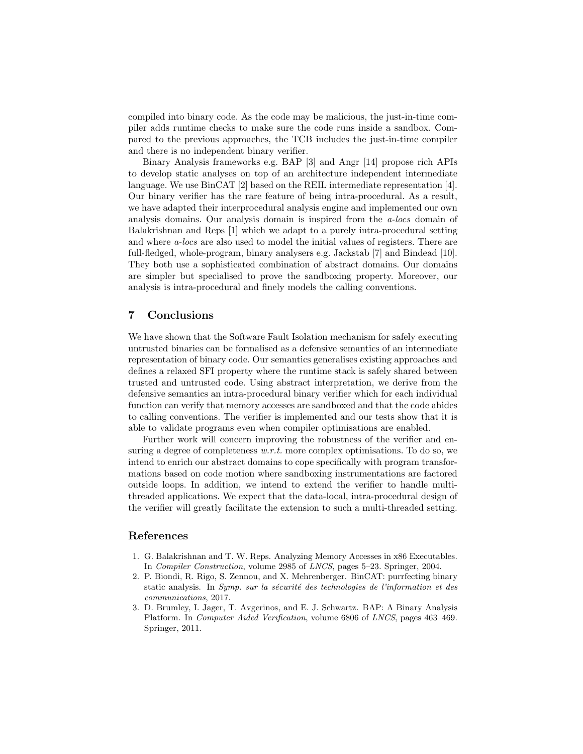compiled into binary code. As the code may be malicious, the just-in-time compiler adds runtime checks to make sure the code runs inside a sandbox. Compared to the previous approaches, the TCB includes the just-in-time compiler and there is no independent binary verifier.

Binary Analysis frameworks e.g. BAP [3] and Angr [14] propose rich APIs to develop static analyses on top of an architecture independent intermediate language. We use BinCAT [2] based on the REIL intermediate representation [4]. Our binary verifier has the rare feature of being intra-procedural. As a result, we have adapted their interprocedural analysis engine and implemented our own analysis domains. Our analysis domain is inspired from the a-locs domain of Balakrishnan and Reps [1] which we adapt to a purely intra-procedural setting and where a-locs are also used to model the initial values of registers. There are full-fledged, whole-program, binary analysers e.g. Jackstab [7] and Bindead [10]. They both use a sophisticated combination of abstract domains. Our domains are simpler but specialised to prove the sandboxing property. Moreover, our analysis is intra-procedural and finely models the calling conventions.

# 7 Conclusions

We have shown that the Software Fault Isolation mechanism for safely executing untrusted binaries can be formalised as a defensive semantics of an intermediate representation of binary code. Our semantics generalises existing approaches and defines a relaxed SFI property where the runtime stack is safely shared between trusted and untrusted code. Using abstract interpretation, we derive from the defensive semantics an intra-procedural binary verifier which for each individual function can verify that memory accesses are sandboxed and that the code abides to calling conventions. The verifier is implemented and our tests show that it is able to validate programs even when compiler optimisations are enabled.

Further work will concern improving the robustness of the verifier and ensuring a degree of completeness  $w.r.t.$  more complex optimisations. To do so, we intend to enrich our abstract domains to cope specifically with program transformations based on code motion where sandboxing instrumentations are factored outside loops. In addition, we intend to extend the verifier to handle multithreaded applications. We expect that the data-local, intra-procedural design of the verifier will greatly facilitate the extension to such a multi-threaded setting.

### References

- 1. G. Balakrishnan and T. W. Reps. Analyzing Memory Accesses in x86 Executables. In Compiler Construction, volume 2985 of LNCS, pages 5–23. Springer, 2004.
- 2. P. Biondi, R. Rigo, S. Zennou, and X. Mehrenberger. BinCAT: purrfecting binary static analysis. In Symp. sur la sécurité des technologies de l'information et des communications, 2017.
- 3. D. Brumley, I. Jager, T. Avgerinos, and E. J. Schwartz. BAP: A Binary Analysis Platform. In Computer Aided Verification, volume 6806 of LNCS, pages 463–469. Springer, 2011.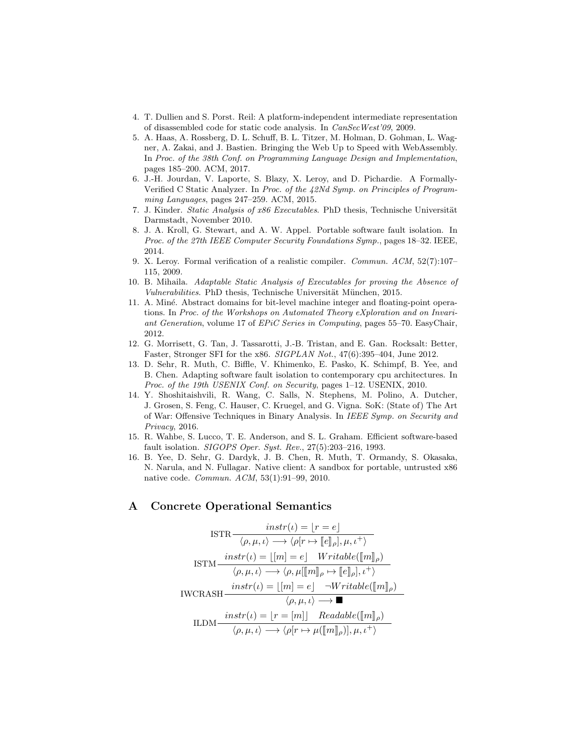- 4. T. Dullien and S. Porst. Reil: A platform-independent intermediate representation of disassembled code for static code analysis. In CanSecWest'09, 2009.
- 5. A. Haas, A. Rossberg, D. L. Schuff, B. L. Titzer, M. Holman, D. Gohman, L. Wagner, A. Zakai, and J. Bastien. Bringing the Web Up to Speed with WebAssembly. In Proc. of the 38th Conf. on Programming Language Design and Implementation, pages 185–200. ACM, 2017.
- 6. J.-H. Jourdan, V. Laporte, S. Blazy, X. Leroy, and D. Pichardie. A Formally-Verified C Static Analyzer. In Proc. of the 42Nd Symp. on Principles of Programming Languages, pages 247–259. ACM, 2015.
- 7. J. Kinder. Static Analysis of x86 Executables. PhD thesis, Technische Universität Darmstadt, November 2010.
- 8. J. A. Kroll, G. Stewart, and A. W. Appel. Portable software fault isolation. In Proc. of the 27th IEEE Computer Security Foundations Symp., pages 18–32. IEEE, 2014.
- 9. X. Leroy. Formal verification of a realistic compiler. Commun. ACM, 52(7):107– 115, 2009.
- 10. B. Mihaila. Adaptable Static Analysis of Executables for proving the Absence of Vulnerabilities. PhD thesis, Technische Universität München, 2015.
- 11. A. Min´e. Abstract domains for bit-level machine integer and floating-point operations. In Proc. of the Workshops on Automated Theory eXploration and on Invariant Generation, volume 17 of EPiC Series in Computing, pages 55–70. EasyChair, 2012.
- 12. G. Morrisett, G. Tan, J. Tassarotti, J.-B. Tristan, and E. Gan. Rocksalt: Better, Faster, Stronger SFI for the x86. SIGPLAN Not., 47(6):395-404, June 2012.
- 13. D. Sehr, R. Muth, C. Biffle, V. Khimenko, E. Pasko, K. Schimpf, B. Yee, and B. Chen. Adapting software fault isolation to contemporary cpu architectures. In Proc. of the 19th USENIX Conf. on Security, pages 1–12. USENIX, 2010.
- 14. Y. Shoshitaishvili, R. Wang, C. Salls, N. Stephens, M. Polino, A. Dutcher, J. Grosen, S. Feng, C. Hauser, C. Kruegel, and G. Vigna. SoK: (State of) The Art of War: Offensive Techniques in Binary Analysis. In IEEE Symp. on Security and Privacy, 2016.
- 15. R. Wahbe, S. Lucco, T. E. Anderson, and S. L. Graham. Efficient software-based fault isolation. *SIGOPS Oper. Syst. Rev.*, 27(5):203-216, 1993.
- 16. B. Yee, D. Sehr, G. Dardyk, J. B. Chen, R. Muth, T. Ormandy, S. Okasaka, N. Narula, and N. Fullagar. Native client: A sandbox for portable, untrusted x86 native code. Commun. ACM, 53(1):91–99, 2010.

# A Concrete Operational Semantics

$$
\text{ISTR} \frac{\operatorname{instr}(\iota) = [r = e]}{\langle \rho, \mu, \iota \rangle \longrightarrow \langle \rho[r \mapsto [\![e]\!]_{\rho}], \mu, \iota^+ \rangle}
$$
\n
$$
\text{ISTM} \frac{\operatorname{instr}(\iota) = [[m] = e] \quad \text{Writeble}([\![m]\!]_{\rho})}{\langle \rho, \mu, \iota \rangle \longrightarrow \langle \rho, \mu[[m]\!]_{\rho} \mapsto [\![e]\!]_{\rho}], \iota^+ \rangle}
$$
\n
$$
\text{IWCRASH} \frac{\operatorname{instr}(\iota) = [[m] = e] \quad \neg \text{Writeble}([\![m]\!]_{\rho})}{\langle \rho, \mu, \iota \rangle \longrightarrow \blacksquare}
$$
\n
$$
\text{ILDM} \frac{\operatorname{instr}(\iota) = [r = [m]] \quad \text{Readable}([\![m]\!]_{\rho})}{\langle \rho, \mu, \iota \rangle \longrightarrow \langle \rho[r \mapsto \mu([\![m]\!]_{\rho})], \mu, \iota^+ \rangle}
$$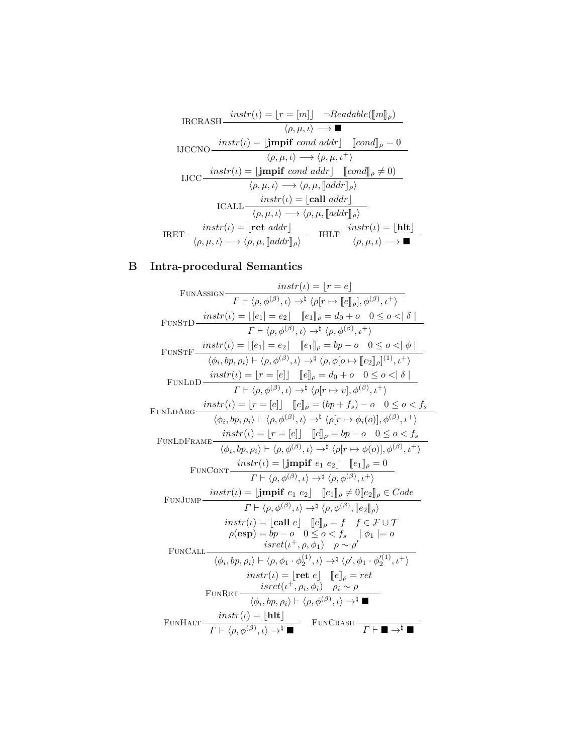$$
IRCRASH\frac{instr(\iota) = [r = [m]] \neg Readable([\![m]\!]_{\rho})}{\langle \rho, \mu, \iota \rangle \longrightarrow \blacksquare}
$$
\n
$$
IJCCNO\frac{instr(\iota) = \lfloor \text{impif } cond \, addr \rfloor \quad [\![cond]\!]_{\rho} = 0}{\langle \rho, \mu, \iota \rangle \longrightarrow \langle \rho, \mu, \iota^+ \rangle}
$$
\n
$$
IJCC\frac{instr(\iota) = \lfloor \text{impif } cond \, addr \rfloor \quad [\![cond]\!]_{\rho} \neq 0)}{\langle \rho, \mu, \iota \rangle \longrightarrow \langle \rho, \mu, [\![addr]\!]_{\rho} \rangle}
$$
\n
$$
ICALL\frac{instr(\iota) = \lfloor \text{call } addr \rfloor}{\langle \rho, \mu, \iota \rangle \longrightarrow \langle \rho, \mu, [\![addr]\!]_{\rho} \rangle}
$$
\n
$$
IRET\frac{instr(\iota) = \lfloor \text{ret }addr \rfloor}{\langle \rho, \mu, \iota \rangle \longrightarrow \langle \rho, \mu, [\![addr]\!]_{\rho} \rangle} \quad IHLT\frac{instr(\iota) = \lfloor \text{hlt} \rfloor}{\langle \rho, \mu, \iota \rangle \longrightarrow \blacksquare}
$$

# B Intra-procedural Semantics

$$
FUNASSIGN
$$
  
\n
$$
FUNASSION
$$
  
\n
$$
FUNASTD
$$
  
\n
$$
FUNSTD
$$
  
\n
$$
FUNSTD
$$
  
\n
$$
FUNSTD
$$
  
\n
$$
FUNSTD
$$
  
\n
$$
FUNSTD
$$
  
\n
$$
FUNSTD
$$
  
\n
$$
FUNSTF
$$
  
\n
$$
FUNSTF
$$
  
\n
$$
FUNSTF
$$
  
\n
$$
FUNSTF
$$
  
\n
$$
FUNSTF
$$
  
\n
$$
FUNSTF
$$
  
\n
$$
FUNSTF
$$
  
\n
$$
FUNSTF
$$
  
\n
$$
FUNSTF
$$
  
\n
$$
FUNSTF
$$
  
\n
$$
FUNSTF
$$
  
\n
$$
FUNSTF
$$
  
\n
$$
FUNSTF
$$
  
\n
$$
FUNSTF
$$
  
\n
$$
FUNSTF
$$
  
\n
$$
FUNSTF
$$
  
\n
$$
FUNSTF
$$
  
\n
$$
FUNSTF
$$
  
\n
$$
FUNSTF
$$
  
\n
$$
FUNSTF
$$
  
\n
$$
FUNSTF
$$
  
\n
$$
FUNTSF
$$
  
\n
$$
FUNTSF
$$
  
\n
$$
FUNTSF
$$
  
\n
$$
FUNTSF
$$
  
\n
$$
FUNTSF
$$
  
\n
$$
FUNTSF
$$
  
\n
$$
FUNTSF
$$
  
\n
$$
FUNTSF
$$
  
\n
$$
FUNTSF
$$
  
\n
$$
FUNTSF
$$
  
\n
$$
FUNTSF
$$
  
\n
$$
FUNTSF
$$
  
\n
$$
FUNTSF
$$
  
\n
$$
FUNTSF
$$
  
\n
$$
FUNTSF
$$
  
\n
$$
FUNTSF
$$
  
\n
$$
FUNTSF
$$
  
\n
$$
FUNTSF
$$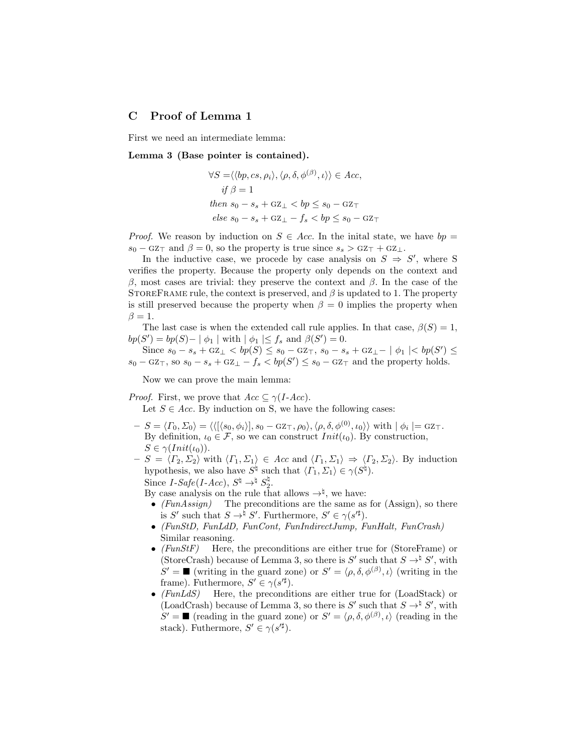# C Proof of Lemma 1

First we need an intermediate lemma:

Lemma 3 (Base pointer is contained).

$$
\forall S = \langle \langle bp, cs, \rho_i \rangle, \langle \rho, \delta, \phi^{(\beta)}, \iota \rangle \rangle \in Acc,
$$
  
\nif  $\beta = 1$   
\nthen  $s_0 - s_s + \mathbf{GZ}_{\perp} < bp \le s_0 - \mathbf{GZ}_{\top}$   
\nelse  $s_0 - s_s + \mathbf{GZ}_{\perp} - f_s < bp \le s_0 - \mathbf{GZ}_{\top}$ 

*Proof.* We reason by induction on  $S \in Acc$ . In the initial state, we have  $bp =$  $s_0 - \mathbf{G} \mathbf{Z} + \mathbf{G} \mathbf{Z} + \mathbf{G} \mathbf{Z} + \mathbf{G} \mathbf{Z} + \mathbf{G} \mathbf{Z} + \mathbf{G} \mathbf{Z} + \mathbf{G} \mathbf{Z} + \mathbf{G} \mathbf{Z} + \mathbf{G} \mathbf{Z} + \mathbf{G} \mathbf{Z} + \mathbf{G} \mathbf{Z} + \mathbf{G} \mathbf{Z} + \mathbf{G} \mathbf{Z} + \mathbf{G} \mathbf{Z} + \mathbf{G} \mathbf{Z} + \mathbf{G} \mathbf{Z} + \mathbf{G} \math$ 

In the inductive case, we procede by case analysis on  $S \Rightarrow S'$ , where S verifies the property. Because the property only depends on the context and  $β$ , most cases are trivial: they preserve the context and  $β$ . In the case of the STOREFRAME rule, the context is preserved, and  $\beta$  is updated to 1. The property is still preserved because the property when  $\beta = 0$  implies the property when  $\beta = 1$ .

The last case is when the extended call rule applies. In that case,  $\beta(S) = 1$ ,  $bp(S') = bp(S) - |\phi_1|$  with  $|\phi_1| \leq f_s$  and  $\beta(S') = 0$ .

Since  $s_0 - s_s + \text{GZ}_{\perp} < bp(S) \leq s_0 - \text{GZ}_{\top}$ ,  $s_0 - s_s + \text{GZ}_{\perp} - |\phi_1| < bp(S') \leq$  $s_0 - \mathbf{GZ}^+$ , so  $s_0 - s_s + \mathbf{GZ}^- \cdot - f_s < bp(S') \leq s_0 - \mathbf{GZ}^+$  and the property holds.

Now we can prove the main lemma:

*Proof.* First, we prove that  $Acc \subseteq \gamma(I - Acc)$ .

Let  $S \in Acc$ . By induction on S, we have the following cases:

- $S = \langle \Gamma_0, \Sigma_0 \rangle = \langle \langle [\langle s_0, \phi_i \rangle], s_0 \text{GZ}_{\top}, \rho_0 \rangle, \langle \rho, \delta, \phi^{(0)}, \iota_0 \rangle \rangle$  with  $| \phi_i | = \text{GZ}_{\top}.$ By definition,  $\iota_0 \in \mathcal{F}$ , so we can construct  $Init(\iota_0)$ . By construction,  $S \in \gamma(Init(\iota_0)).$
- $-S = \langle \Gamma_2, \Sigma_2 \rangle$  with  $\langle \Gamma_1, \Sigma_1 \rangle \in Acc$  and  $\langle \Gamma_1, \Sigma_1 \rangle \Rightarrow \langle \Gamma_2, \Sigma_2 \rangle$ . By induction hypothesis, we also have  $S^{\natural}$  such that  $\langle \Gamma_1, \Sigma_1 \rangle \in \gamma(S^{\natural})$ . Since  $I\text{-}Safe(I\text{-}Acc), S^{\natural}\to S_2^{\natural}$ .

By case analysis on the rule that allows  $\rightarrow^{\natural}$ , we have:

- $(FunAssign)$  The preconditions are the same as for (Assign), so there is S' such that  $S \to^{\natural} S'$ . Furthermore,  $S' \in \gamma(s'^{\sharp})$ .
- (FunStD, FunLdD, FunCont, FunIndirectJump, FunHalt, FunCrash) Similar reasoning.
- $(FunStr)$  Here, the preconditions are either true for (StoreFrame) or (StoreCrash) because of Lemma 3, so there is S' such that  $S \to^{\natural} S'$ , with  $S' = \blacksquare$  (writing in the guard zone) or  $S' = \langle \rho, \delta, \phi^{(\beta)}, \iota \rangle$  (writing in the frame). Futhermore,  $S' \in \gamma(s'^\sharp)$ .
- (FunLdS) Here, the preconditions are either true for (LoadStack) or (LoadCrash) because of Lemma 3, so there is S' such that  $S \to^{\natural} S'$ , with  $S' = \blacksquare$  (reading in the guard zone) or  $S' = \langle \rho, \delta, \phi^{(\beta)}, \iota \rangle$  (reading in the stack). Futhermore,  $S' \in \gamma(s'^\sharp)$ .